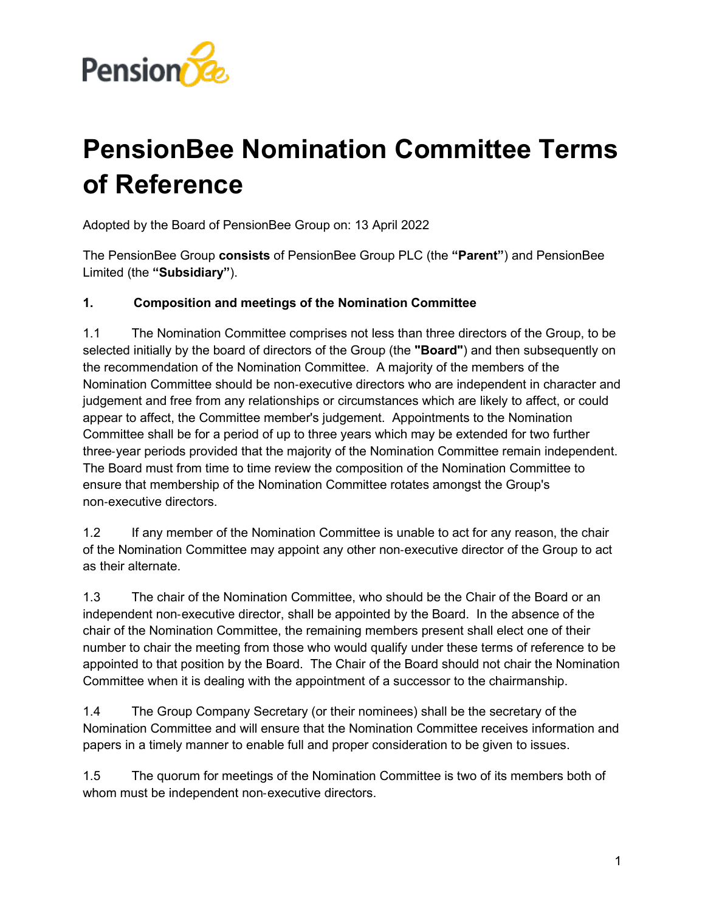

# **PensionBee Nomination Committee Terms of Reference**

Adopted by the Board of PensionBee Group on: 13 April 2022

The PensionBee Group **consists** of PensionBee Group PLC (the **"Parent"**) and PensionBee Limited (the **"Subsidiary"**).

### **1. Composition and meetings of the Nomination Committee**

1.1 The Nomination Committee comprises not less than three directors of the Group, to be selected initially by the board of directors of the Group (the **"Board"**) and then subsequently on the recommendation of the Nomination Committee. A majority of the members of the Nomination Committee should be non‑executive directors who are independent in character and judgement and free from any relationships or circumstances which are likely to affect, or could appear to affect, the Committee member's judgement. Appointments to the Nomination Committee shall be for a period of up to three years which may be extended for two further three‑year periods provided that the majority of the Nomination Committee remain independent. The Board must from time to time review the composition of the Nomination Committee to ensure that membership of the Nomination Committee rotates amongst the Group's non‑executive directors.

1.2 If any member of the Nomination Committee is unable to act for any reason, the chair of the Nomination Committee may appoint any other non‑executive director of the Group to act as their alternate.

1.3 The chair of the Nomination Committee, who should be the Chair of the Board or an independent non-executive director, shall be appointed by the Board. In the absence of the chair of the Nomination Committee, the remaining members present shall elect one of their number to chair the meeting from those who would qualify under these terms of reference to be appointed to that position by the Board. The Chair of the Board should not chair the Nomination Committee when it is dealing with the appointment of a successor to the chairmanship.

1.4 The Group Company Secretary (or their nominees) shall be the secretary of the Nomination Committee and will ensure that the Nomination Committee receives information and papers in a timely manner to enable full and proper consideration to be given to issues.

1.5 The quorum for meetings of the Nomination Committee is two of its members both of whom must be independent non-executive directors.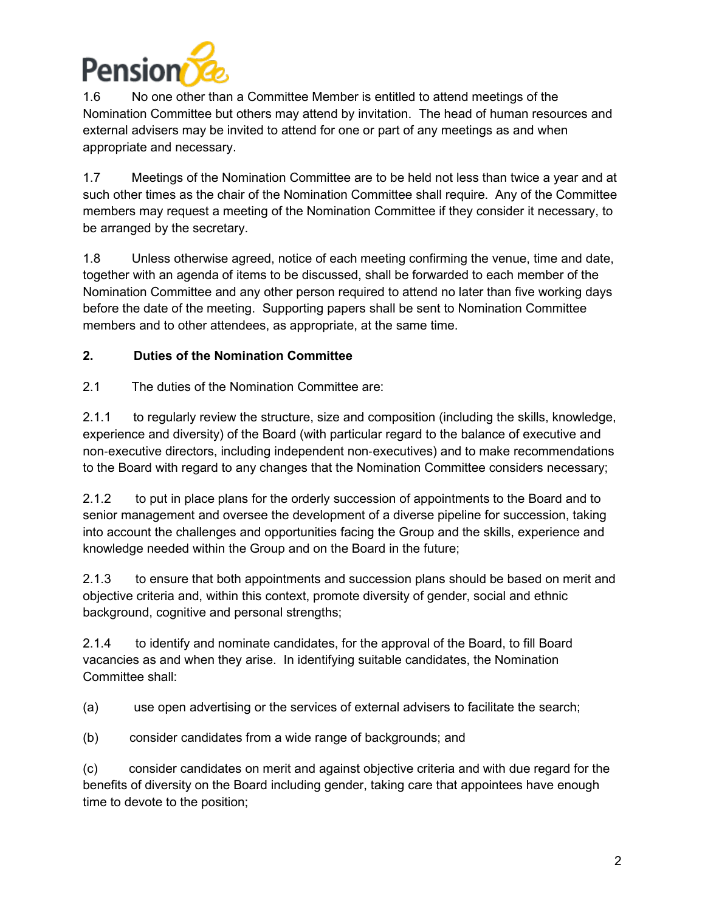

1.6 No one other than a Committee Member is entitled to attend meetings of the Nomination Committee but others may attend by invitation. The head of human resources and external advisers may be invited to attend for one or part of any meetings as and when appropriate and necessary.

1.7 Meetings of the Nomination Committee are to be held not less than twice a year and at such other times as the chair of the Nomination Committee shall require. Any of the Committee members may request a meeting of the Nomination Committee if they consider it necessary, to be arranged by the secretary.

1.8 Unless otherwise agreed, notice of each meeting confirming the venue, time and date, together with an agenda of items to be discussed, shall be forwarded to each member of the Nomination Committee and any other person required to attend no later than five working days before the date of the meeting. Supporting papers shall be sent to Nomination Committee members and to other attendees, as appropriate, at the same time.

## **2. Duties of the Nomination Committee**

2.1 The duties of the Nomination Committee are:

2.1.1 to regularly review the structure, size and composition (including the skills, knowledge, experience and diversity) of the Board (with particular regard to the balance of executive and non‑executive directors, including independent non‑executives) and to make recommendations to the Board with regard to any changes that the Nomination Committee considers necessary;

2.1.2 to put in place plans for the orderly succession of appointments to the Board and to senior management and oversee the development of a diverse pipeline for succession, taking into account the challenges and opportunities facing the Group and the skills, experience and knowledge needed within the Group and on the Board in the future;

2.1.3 to ensure that both appointments and succession plans should be based on merit and objective criteria and, within this context, promote diversity of gender, social and ethnic background, cognitive and personal strengths;

2.1.4 to identify and nominate candidates, for the approval of the Board, to fill Board vacancies as and when they arise. In identifying suitable candidates, the Nomination Committee shall:

- (a) use open advertising or the services of external advisers to facilitate the search;
- (b) consider candidates from a wide range of backgrounds; and

(c) consider candidates on merit and against objective criteria and with due regard for the benefits of diversity on the Board including gender, taking care that appointees have enough time to devote to the position;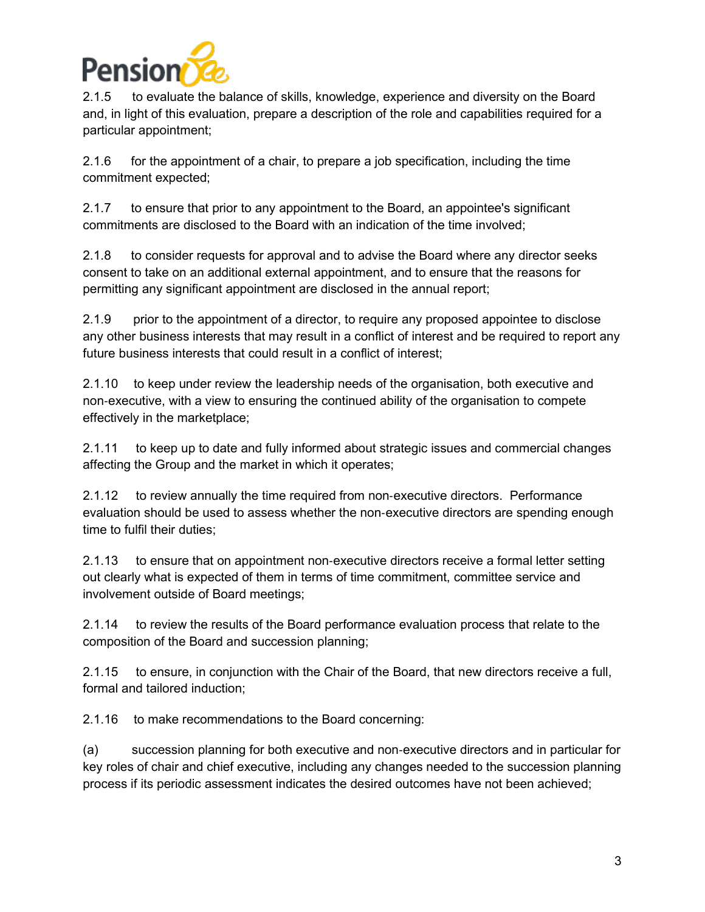

2.1.5 to evaluate the balance of skills, knowledge, experience and diversity on the Board and, in light of this evaluation, prepare a description of the role and capabilities required for a particular appointment;

2.1.6 for the appointment of a chair, to prepare a job specification, including the time commitment expected;

2.1.7 to ensure that prior to any appointment to the Board, an appointee's significant commitments are disclosed to the Board with an indication of the time involved;

2.1.8 to consider requests for approval and to advise the Board where any director seeks consent to take on an additional external appointment, and to ensure that the reasons for permitting any significant appointment are disclosed in the annual report;

2.1.9 prior to the appointment of a director, to require any proposed appointee to disclose any other business interests that may result in a conflict of interest and be required to report any future business interests that could result in a conflict of interest;

2.1.10 to keep under review the leadership needs of the organisation, both executive and non‑executive, with a view to ensuring the continued ability of the organisation to compete effectively in the marketplace;

2.1.11 to keep up to date and fully informed about strategic issues and commercial changes affecting the Group and the market in which it operates;

2.1.12 to review annually the time required from non-executive directors. Performance evaluation should be used to assess whether the non‑executive directors are spending enough time to fulfil their duties;

2.1.13 to ensure that on appointment non‑executive directors receive a formal letter setting out clearly what is expected of them in terms of time commitment, committee service and involvement outside of Board meetings;

2.1.14 to review the results of the Board performance evaluation process that relate to the composition of the Board and succession planning;

2.1.15 to ensure, in conjunction with the Chair of the Board, that new directors receive a full, formal and tailored induction;

2.1.16 to make recommendations to the Board concerning:

(a) succession planning for both executive and non‑executive directors and in particular for key roles of chair and chief executive, including any changes needed to the succession planning process if its periodic assessment indicates the desired outcomes have not been achieved;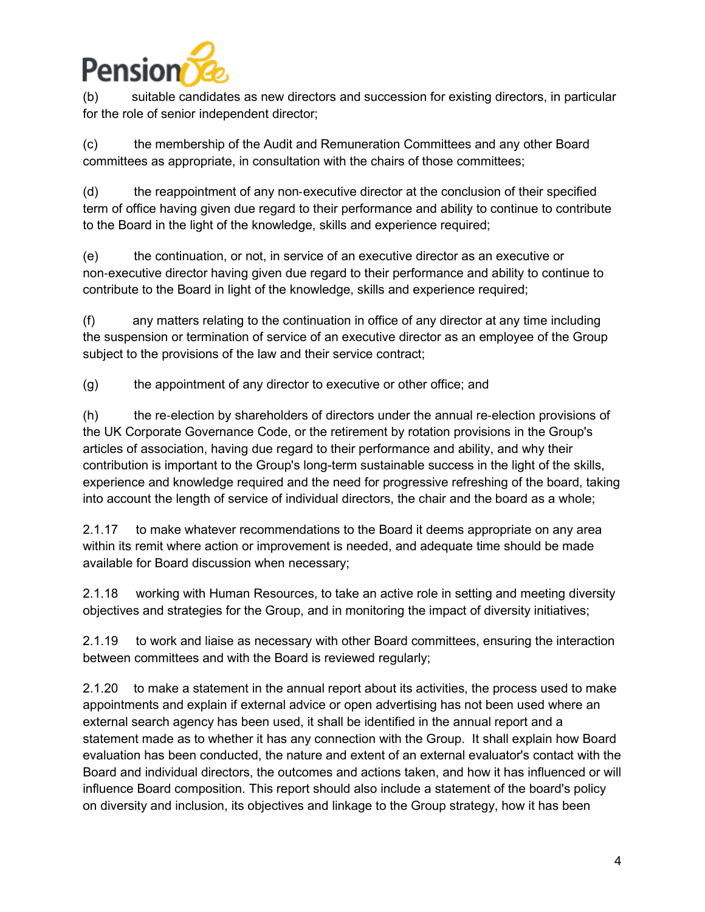

(b) suitable candidates as new directors and succession for existing directors, in particular for the role of senior independent director;

(c) the membership of the Audit and Remuneration Committees and any other Board committees as appropriate, in consultation with the chairs of those committees;

(d) the reappointment of any non-executive director at the conclusion of their specified term of office having given due regard to their performance and ability to continue to contribute to the Board in the light of the knowledge, skills and experience required;

(e) the continuation, or not, in service of an executive director as an executive or non‑executive director having given due regard to their performance and ability to continue to contribute to the Board in light of the knowledge, skills and experience required;

(f) any matters relating to the continuation in office of any director at any time including the suspension or termination of service of an executive director as an employee of the Group subject to the provisions of the law and their service contract;

(g) the appointment of any director to executive or other office; and

(h) the re‑election by shareholders of directors under the annual re‑election provisions of the UK Corporate Governance Code, or the retirement by rotation provisions in the Group's articles of association, having due regard to their performance and ability, and why their contribution is important to the Group's long-term sustainable success in the light of the skills, experience and knowledge required and the need for progressive refreshing of the board, taking into account the length of service of individual directors, the chair and the board as a whole;

2.1.17 to make whatever recommendations to the Board it deems appropriate on any area within its remit where action or improvement is needed, and adequate time should be made available for Board discussion when necessary;

2.1.18 working with Human Resources, to take an active role in setting and meeting diversity objectives and strategies for the Group, and in monitoring the impact of diversity initiatives;

2.1.19 to work and liaise as necessary with other Board committees, ensuring the interaction between committees and with the Board is reviewed regularly;

2.1.20 to make a statement in the annual report about its activities, the process used to make appointments and explain if external advice or open advertising has not been used where an external search agency has been used, it shall be identified in the annual report and a statement made as to whether it has any connection with the Group. It shall explain how Board evaluation has been conducted, the nature and extent of an external evaluator's contact with the Board and individual directors, the outcomes and actions taken, and how it has influenced or will influence Board composition. This report should also include a statement of the board's policy on diversity and inclusion, its objectives and linkage to the Group strategy, how it has been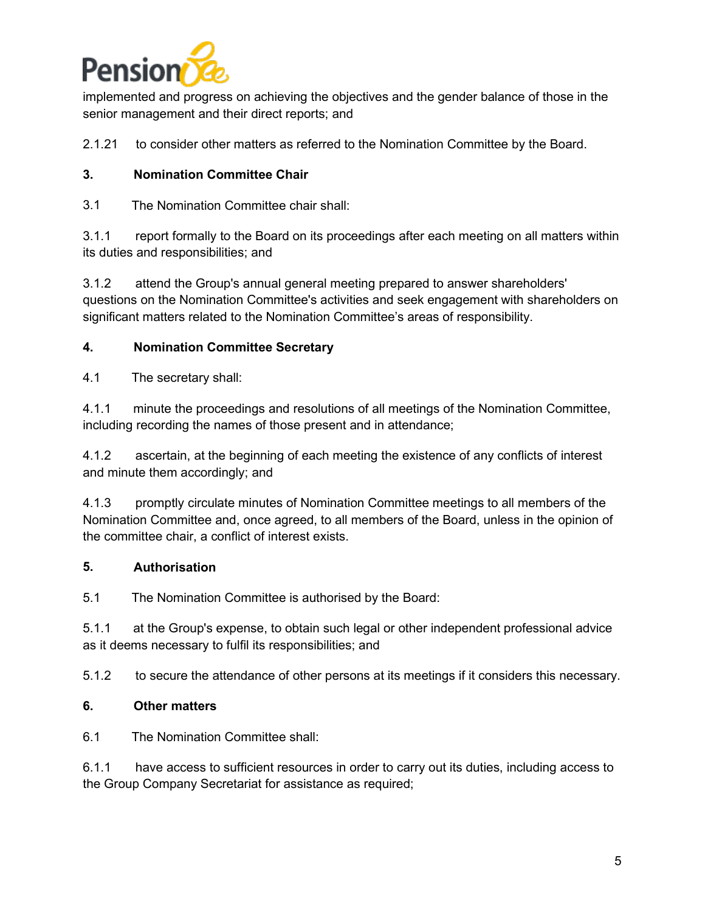

implemented and progress on achieving the objectives and the gender balance of those in the senior management and their direct reports; and

2.1.21 to consider other matters as referred to the Nomination Committee by the Board.

#### **3. Nomination Committee Chair**

3.1 The Nomination Committee chair shall:

3.1.1 report formally to the Board on its proceedings after each meeting on all matters within its duties and responsibilities; and

3.1.2 attend the Group's annual general meeting prepared to answer shareholders' questions on the Nomination Committee's activities and seek engagement with shareholders on significant matters related to the Nomination Committee's areas of responsibility.

#### **4. Nomination Committee Secretary**

4.1 The secretary shall:

4.1.1 minute the proceedings and resolutions of all meetings of the Nomination Committee, including recording the names of those present and in attendance;

4.1.2 ascertain, at the beginning of each meeting the existence of any conflicts of interest and minute them accordingly; and

4.1.3 promptly circulate minutes of Nomination Committee meetings to all members of the Nomination Committee and, once agreed, to all members of the Board, unless in the opinion of the committee chair, a conflict of interest exists.

### **5. Authorisation**

5.1 The Nomination Committee is authorised by the Board:

5.1.1 at the Group's expense, to obtain such legal or other independent professional advice as it deems necessary to fulfil its responsibilities; and

5.1.2 to secure the attendance of other persons at its meetings if it considers this necessary.

#### **6. Other matters**

6.1 The Nomination Committee shall:

6.1.1 have access to sufficient resources in order to carry out its duties, including access to the Group Company Secretariat for assistance as required;